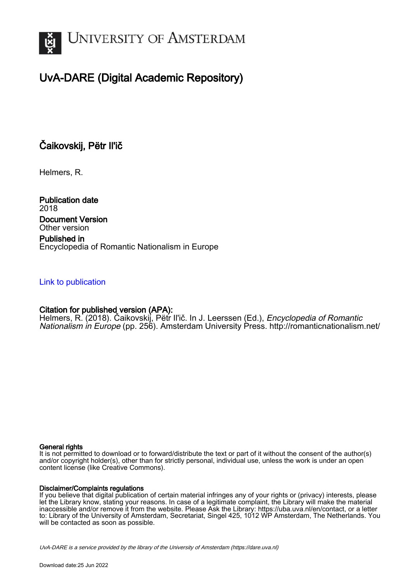

# UvA-DARE (Digital Academic Repository)

# Čaikovskij, Pëtr Il'ič

Helmers, R.

Publication date 2018 Document Version Other version

Published in Encyclopedia of Romantic Nationalism in Europe

### [Link to publication](https://dare.uva.nl/personal/pure/en/publications/aikovskij-petr-ili(bad6c979-780b-449d-aecc-dbfca5bfc231).html)

## Citation for published version (APA):

Helmers, R. (2018). Čaikovskij, Pëtr Il'ič. In J. Leerssen (Ed.), *Encyclopedia of Romantic* Nationalism in Europe (pp. 256). Amsterdam University Press.<http://romanticnationalism.net/>

#### General rights

It is not permitted to download or to forward/distribute the text or part of it without the consent of the author(s) and/or copyright holder(s), other than for strictly personal, individual use, unless the work is under an open content license (like Creative Commons).

#### Disclaimer/Complaints regulations

If you believe that digital publication of certain material infringes any of your rights or (privacy) interests, please let the Library know, stating your reasons. In case of a legitimate complaint, the Library will make the material inaccessible and/or remove it from the website. Please Ask the Library: https://uba.uva.nl/en/contact, or a letter to: Library of the University of Amsterdam, Secretariat, Singel 425, 1012 WP Amsterdam, The Netherlands. You will be contacted as soon as possible.

UvA-DARE is a service provided by the library of the University of Amsterdam (http*s*://dare.uva.nl)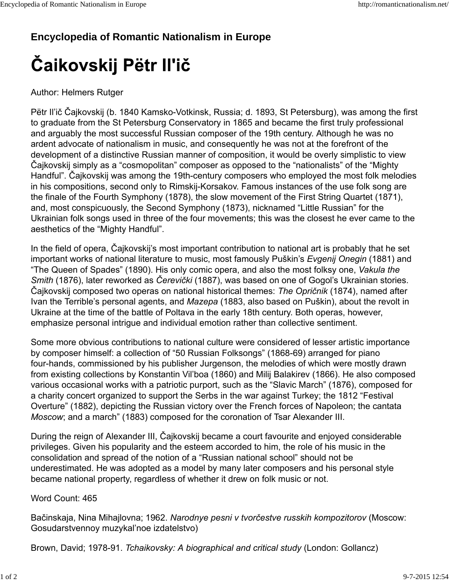# **Encyclopedia of Romantic Nationalism in Europe**

# Čaikovskij Pëtr Il'ič

## Author: Helmers Rutger

Pëtr Il'ič Čajkovskij (b. 1840 Kamsko-Votkinsk, Russia; d. 1893, St Petersburg), was among the first to graduate from the St Petersburg Conservatory in 1865 and became the first truly professional and arguably the most successful Russian composer of the 19th century. Although he was no ardent advocate of nationalism in music, and consequently he was not at the forefront of the development of a distinctive Russian manner of composition, it would be overly simplistic to view Čajkovskij simply as a "cosmopolitan" composer as opposed to the "nationalists" of the "Mighty Handful". Čajkovskij was among the 19th-century composers who employed the most folk melodies in his compositions, second only to Rimskij-Korsakov. Famous instances of the use folk song are the finale of the Fourth Symphony (1878), the slow movement of the First String Quartet (1871), and, most conspicuously, the Second Symphony (1873), nicknamed "Little Russian" for the Ukrainian folk songs used in three of the four movements; this was the closest he ever came to the aesthetics of the "Mighty Handful".

In the field of opera, Čajkovskij's most important contribution to national art is probably that he set important works of national literature to music, most famously Puškin's *Evgenij Onegin* (1881) and "The Queen of Spades" (1890). His only comic opera, and also the most folksy one, *Vakula the Smith* (1876), later reworked as *Čerevički* (1887), was based on one of Gogol's Ukrainian stories. Čajkovskij composed two operas on national historical themes: *The Opričnik* (1874), named after Ivan the Terrible's personal agents, and *Mazepa* (1883, also based on Puškin), about the revolt in Ukraine at the time of the battle of Poltava in the early 18th century. Both operas, however, emphasize personal intrigue and individual emotion rather than collective sentiment.

Some more obvious contributions to national culture were considered of lesser artistic importance by composer himself: a collection of "50 Russian Folksongs" (1868-69) arranged for piano four-hands, commissioned by his publisher Jurgenson, the melodies of which were mostly drawn from existing collections by Konstantin Vil'boa (1860) and Milij Balakirev (1866). He also composed various occasional works with a patriotic purport, such as the "Slavic March" (1876), composed for a charity concert organized to support the Serbs in the war against Turkey; the 1812 "Festival Overture" (1882), depicting the Russian victory over the French forces of Napoleon; the cantata *Moscow*; and a march" (1883) composed for the coronation of Tsar Alexander III.

During the reign of Alexander III, Čajkovskij became a court favourite and enjoyed considerable privileges. Given his popularity and the esteem accorded to him, the role of his music in the consolidation and spread of the notion of a "Russian national school" should not be underestimated. He was adopted as a model by many later composers and his personal style became national property, regardless of whether it drew on folk music or not.

## Word Count: 465

Bačinskaja, Nina Mihajlovna; 1962. *Narodnye pesni v tvorčestve russkih kompozitorov* (Moscow: Gosudarstvennoy muzykal'noe izdatelstvo)

Brown, David; 1978-91. *Tchaikovsky: A biographical and critical study* (London: Gollancz)